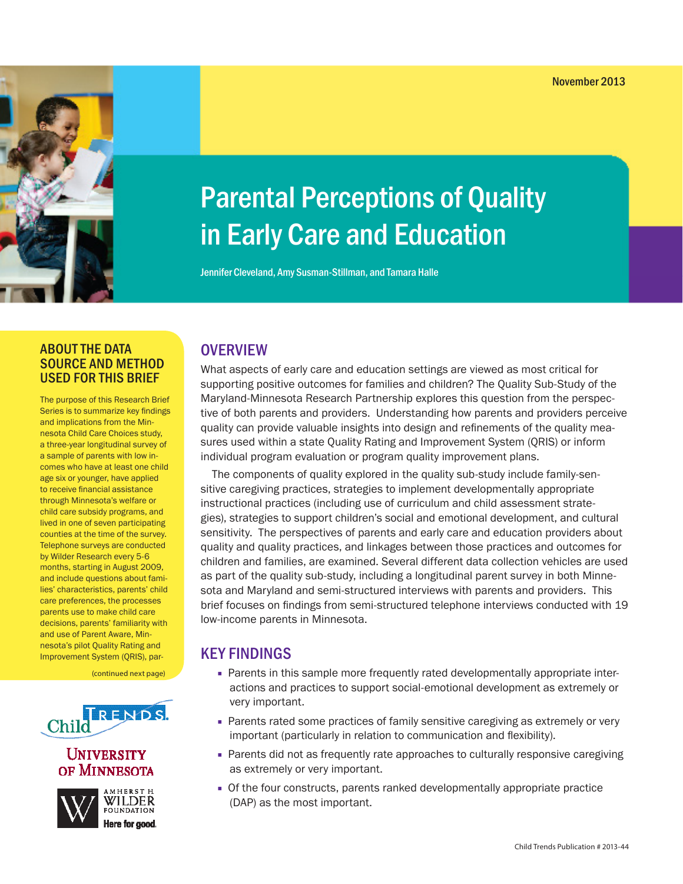# Parental Perceptions of Quality in Early Care and Education

Jennifer Cleveland, Amy Susman-Stillman, and Tamara Halle

## ABOUT THE DATA SOURCE AND METHOD USED FOR THIS BRIEF

The purpose of this Research Brief Series is to summarize key findings and implications from the Minnesota Child Care Choices study, a three-year longitudinal survey of a sample of parents with low incomes who have at least one child age six or younger, have applied to receive financial assistance through Minnesota's welfare or child care subsidy programs, and lived in one of seven participating counties at the time of the survey. Telephone surveys are conducted by Wilder Research every 5-6 months, starting in August 2009, and include questions about families' characteristics, parents' child care preferences, the processes parents use to make child care decisions, parents' familiarity with and use of Parent Aware, Minnesota's pilot Quality Rating and Improvement System (QRIS), par-

(continued next page)



## UNIVERSITY of Minnesota



**FOUNDATION** Here for good.

# **OVERVIEW**

What aspects of early care and education settings are viewed as most critical for supporting positive outcomes for families and children? The Quality Sub-Study of the Maryland-Minnesota Research Partnership explores this question from the perspective of both parents and providers. Understanding how parents and providers perceive quality can provide valuable insights into design and refinements of the quality measures used within a state Quality Rating and Improvement System (QRIS) or inform individual program evaluation or program quality improvement plans.

The components of quality explored in the quality sub-study include family-sensitive caregiving practices, strategies to implement developmentally appropriate instructional practices (including use of curriculum and child assessment strategies), strategies to support children's social and emotional development, and cultural sensitivity. The perspectives of parents and early care and education providers about quality and quality practices, and linkages between those practices and outcomes for children and families, are examined. Several different data collection vehicles are used as part of the quality sub-study, including a longitudinal parent survey in both Minnesota and Maryland and semi-structured interviews with parents and providers. This brief focuses on findings from semi-structured telephone interviews conducted with 19 low-income parents in Minnesota.

# KEY FINDINGS

- **■** Parents in this sample more frequently rated developmentally appropriate interactions and practices to support social-emotional development as extremely or very important.
- **■** Parents rated some practices of family sensitive caregiving as extremely or very important (particularly in relation to communication and flexibility).
- **■** Parents did not as frequently rate approaches to culturally responsive caregiving as extremely or very important.
- **■** Of the four constructs, parents ranked developmentally appropriate practice (DAP) as the most important.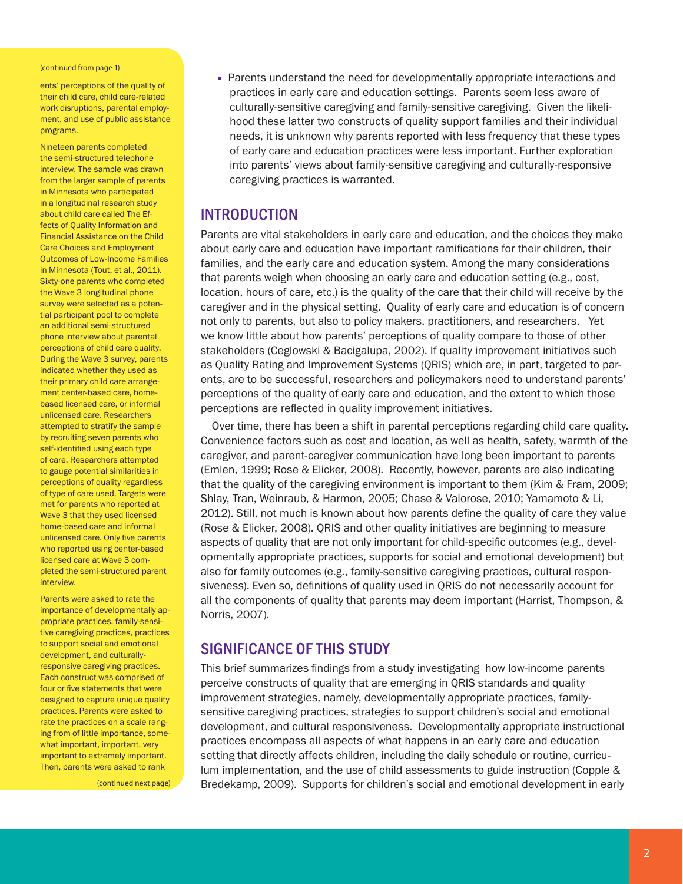#### (continued from page 1)

ents' perceptions of the quality of their child care, child care-related work disruptions, parental employment, and use of public assistance programs.

Nineteen parents completed the semi-structured telephone interview. The sample was drawn from the larger sample of parents in Minnesota who participated in a longitudinal research study about child care called The Effects of Quality Information and Financial Assistance on the Child Care Choices and Employment Outcomes of Low-Income Families in Minnesota (Tout, et al., 2011). Sixty-one parents who completed the Wave 3 longitudinal phone survey were selected as a potential participant pool to complete an additional semi-structured phone interview about parental perceptions of child care quality. During the Wave 3 survey, parents indicated whether they used as their primary child care arrangement center-based care, homebased licensed care, or informal unlicensed care. Researchers attempted to stratify the sample by recruiting seven parents who self-identified using each type of care. Researchers attempted to gauge potential similarities in perceptions of quality regardless of type of care used. Targets were met for parents who reported at Wave 3 that they used licensed home-based care and informal unlicensed care. Only five parents who reported using center-based licensed care at Wave 3 completed the semi-structured parent interview.

Parents were asked to rate the importance of developmentally appropriate practices, family-sensitive caregiving practices, practices to support social and emotional development, and culturallyresponsive caregiving practices. Each construct was comprised of four or five statements that were designed to capture unique quality practices. Parents were asked to rate the practices on a scale ranging from of little importance, somewhat important, important, very important to extremely important. Then, parents were asked to rank

(continued next page)

**■** Parents understand the need for developmentally appropriate interactions and practices in early care and education settings. Parents seem less aware of culturally-sensitive caregiving and family-sensitive caregiving. Given the likelihood these latter two constructs of quality support families and their individual needs, it is unknown why parents reported with less frequency that these types of early care and education practices were less important. Further exploration into parents' views about family-sensitive caregiving and culturally-responsive caregiving practices is warranted.

## INTRODUCTION

Parents are vital stakeholders in early care and education, and the choices they make about early care and education have important ramifications for their children, their families, and the early care and education system. Among the many considerations that parents weigh when choosing an early care and education setting (e.g., cost, location, hours of care, etc.) is the quality of the care that their child will receive by the caregiver and in the physical setting. Quality of early care and education is of concern not only to parents, but also to policy makers, practitioners, and researchers. Yet we know little about how parents' perceptions of quality compare to those of other stakeholders (Ceglowski & Bacigalupa, 2002). If quality improvement initiatives such as Quality Rating and Improvement Systems (QRIS) which are, in part, targeted to parents, are to be successful, researchers and policymakers need to understand parents' perceptions of the quality of early care and education, and the extent to which those perceptions are reflected in quality improvement initiatives.

Over time, there has been a shift in parental perceptions regarding child care quality. Convenience factors such as cost and location, as well as health, safety, warmth of the caregiver, and parent-caregiver communication have long been important to parents (Emlen, 1999; Rose & Elicker, 2008). Recently, however, parents are also indicating that the quality of the caregiving environment is important to them (Kim & Fram, 2009; Shlay, Tran, Weinraub, & Harmon, 2005; Chase & Valorose, 2010; Yamamoto & Li, 2012). Still, not much is known about how parents define the quality of care they value (Rose & Elicker, 2008). QRIS and other quality initiatives are beginning to measure aspects of quality that are not only important for child-specific outcomes (e.g., developmentally appropriate practices, supports for social and emotional development) but also for family outcomes (e.g., family-sensitive caregiving practices, cultural responsiveness). Even so, definitions of quality used in QRIS do not necessarily account for all the components of quality that parents may deem important (Harrist, Thompson, & Norris, 2007).

## SIGNIFICANCE OF THIS STUDY

This brief summarizes findings from a study investigating how low-income parents perceive constructs of quality that are emerging in QRIS standards and quality improvement strategies, namely, developmentally appropriate practices, familysensitive caregiving practices, strategies to support children's social and emotional development, and cultural responsiveness. Developmentally appropriate instructional practices encompass all aspects of what happens in an early care and education setting that directly affects children, including the daily schedule or routine, curriculum implementation, and the use of child assessments to guide instruction (Copple & Bredekamp, 2009). Supports for children's social and emotional development in early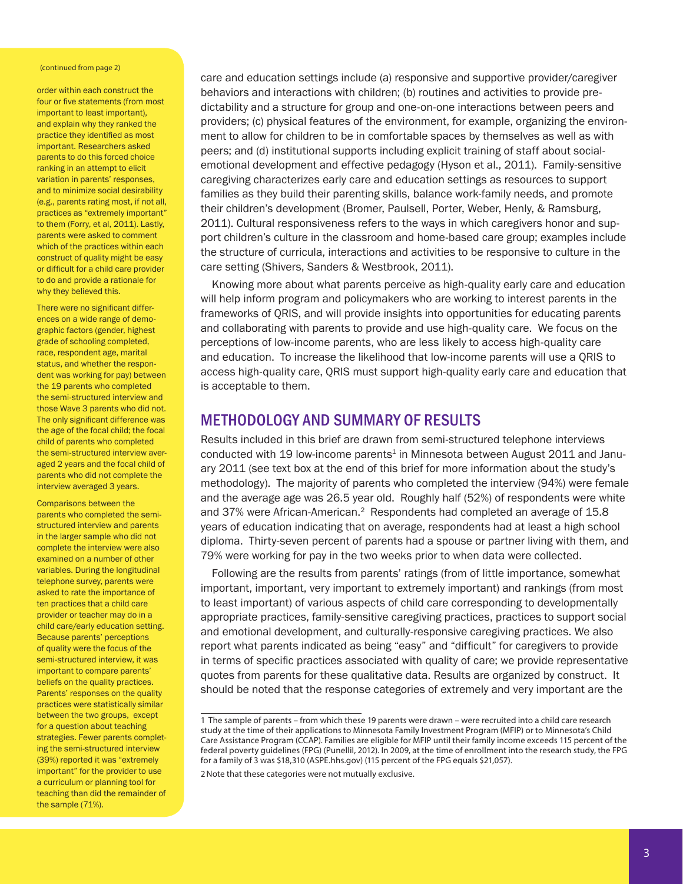#### (continued from page 2)

order within each construct the four or five statements (from most important to least important), and explain why they ranked the practice they identified as most important. Researchers asked parents to do this forced choice ranking in an attempt to elicit variation in parents' responses, and to minimize social desirability (e.g., parents rating most, if not all, practices as "extremely important" to them (Forry, et al, 2011). Lastly, parents were asked to comment which of the practices within each construct of quality might be easy or difficult for a child care provider to do and provide a rationale for why they believed this.

There were no significant differences on a wide range of demographic factors (gender, highest grade of schooling completed, race, respondent age, marital status, and whether the respondent was working for pay) between the 19 parents who completed the semi-structured interview and those Wave 3 parents who did not. The only significant difference was the age of the focal child; the focal child of parents who completed the semi-structured interview averaged 2 years and the focal child of parents who did not complete the interview averaged 3 years.

Comparisons between the parents who completed the semistructured interview and parents in the larger sample who did not complete the interview were also examined on a number of other variables. During the longitudinal telephone survey, parents were asked to rate the importance of ten practices that a child care provider or teacher may do in a child care/early education setting. Because parents' perceptions of quality were the focus of the semi-structured interview, it was important to compare parents' beliefs on the quality practices. Parents' responses on the quality practices were statistically similar between the two groups, except for a question about teaching strategies. Fewer parents completing the semi-structured interview (39%) reported it was "extremely important" for the provider to use a curriculum or planning tool for teaching than did the remainder of the sample (71%).

care and education settings include (a) responsive and supportive provider/caregiver behaviors and interactions with children; (b) routines and activities to provide predictability and a structure for group and one-on-one interactions between peers and providers; (c) physical features of the environment, for example, organizing the environment to allow for children to be in comfortable spaces by themselves as well as with peers; and (d) institutional supports including explicit training of staff about socialemotional development and effective pedagogy (Hyson et al., 2011). Family-sensitive caregiving characterizes early care and education settings as resources to support families as they build their parenting skills, balance work-family needs, and promote their children's development (Bromer, Paulsell, Porter, Weber, Henly, & Ramsburg, 2011). Cultural responsiveness refers to the ways in which caregivers honor and support children's culture in the classroom and home-based care group; examples include the structure of curricula, interactions and activities to be responsive to culture in the care setting (Shivers, Sanders & Westbrook, 2011).

Knowing more about what parents perceive as high-quality early care and education will help inform program and policymakers who are working to interest parents in the frameworks of QRIS, and will provide insights into opportunities for educating parents and collaborating with parents to provide and use high-quality care. We focus on the perceptions of low-income parents, who are less likely to access high-quality care and education. To increase the likelihood that low-income parents will use a QRIS to access high-quality care, QRIS must support high-quality early care and education that is acceptable to them.

## METHODOLOGY AND SUMMARY OF RESULTS

Results included in this brief are drawn from semi-structured telephone interviews conducted with 19 low-income parents<sup>1</sup> in Minnesota between August 2011 and January 2011 (see text box at the end of this brief for more information about the study's methodology). The majority of parents who completed the interview (94%) were female and the average age was 26.5 year old. Roughly half (52%) of respondents were white and 37% were African-American.2 Respondents had completed an average of 15.8 years of education indicating that on average, respondents had at least a high school diploma. Thirty-seven percent of parents had a spouse or partner living with them, and 79% were working for pay in the two weeks prior to when data were collected.

Following are the results from parents' ratings (from of little importance, somewhat important, important, very important to extremely important) and rankings (from most to least important) of various aspects of child care corresponding to developmentally appropriate practices, family-sensitive caregiving practices, practices to support social and emotional development, and culturally-responsive caregiving practices. We also report what parents indicated as being "easy" and "difficult" for caregivers to provide in terms of specific practices associated with quality of care; we provide representative quotes from parents for these qualitative data. Results are organized by construct. It should be noted that the response categories of extremely and very important are the

2Note that these categories were not mutually exclusive.

<sup>1</sup> The sample of parents – from which these 19 parents were drawn – were recruited into a child care research study at the time of their applications to Minnesota Family Investment Program (MFIP) or to Minnesota's Child Care Assistance Program (CCAP). Families are eligible for MFIP until their family income exceeds 115 percent of the federal poverty guidelines (FPG) (Punellil, 2012). In 2009, at the time of enrollment into the research study, the FPG for a family of 3 was \$18,310 (ASPE.hhs.gov) (115 percent of the FPG equals \$21,057).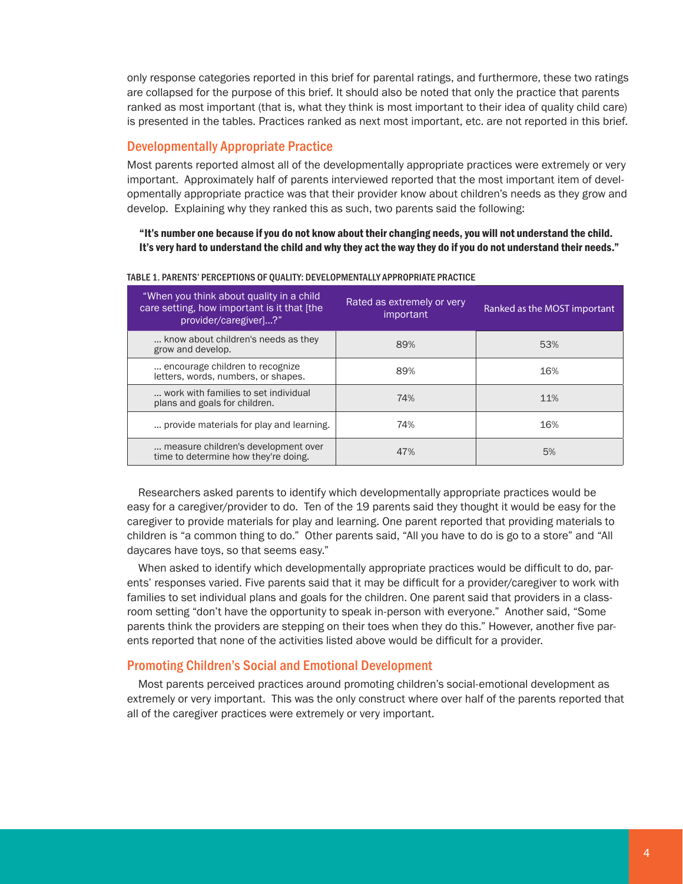only response categories reported in this brief for parental ratings, and furthermore, these two ratings are collapsed for the purpose of this brief. It should also be noted that only the practice that parents ranked as most important (that is, what they think is most important to their idea of quality child care) is presented in the tables. Practices ranked as next most important, etc. are not reported in this brief.

## Developmentally Appropriate Practice

Most parents reported almost all of the developmentally appropriate practices were extremely or very important. Approximately half of parents interviewed reported that the most important item of developmentally appropriate practice was that their provider know about children's needs as they grow and develop. Explaining why they ranked this as such, two parents said the following:

"It's number one because if you do not know about their changing needs, you will not understand the child. It's very hard to understand the child and why they act the way they do if you do not understand their needs."

| "When you think about quality in a child<br>care setting, how important is it that [the<br>provider/caregiver]?" | Rated as extremely or very<br>important | Ranked as the MOST important |
|------------------------------------------------------------------------------------------------------------------|-----------------------------------------|------------------------------|
| know about children's needs as they<br>grow and develop.                                                         | 89%                                     | 53%                          |
| encourage children to recognize.<br>letters, words, numbers, or shapes.                                          | 89%                                     | 16%                          |
| work with families to set individual<br>plans and goals for children.                                            | 74%                                     | 11%                          |
| provide materials for play and learning.                                                                         | 74%                                     | 16%                          |
| measure children's development over<br>time to determine how they're doing.                                      | 47%                                     | 5%                           |

#### TABLE 1. PARENTS' PERCEPTIONS OF QUALITY: DEVELOPMENTALLY APPROPRIATE PRACTICE

Researchers asked parents to identify which developmentally appropriate practices would be easy for a caregiver/provider to do. Ten of the 19 parents said they thought it would be easy for the caregiver to provide materials for play and learning. One parent reported that providing materials to children is "a common thing to do." Other parents said, "All you have to do is go to a store" and "All daycares have toys, so that seems easy."

When asked to identify which developmentally appropriate practices would be difficult to do, parents' responses varied. Five parents said that it may be difficult for a provider/caregiver to work with families to set individual plans and goals for the children. One parent said that providers in a classroom setting "don't have the opportunity to speak in-person with everyone." Another said, "Some parents think the providers are stepping on their toes when they do this." However, another five parents reported that none of the activities listed above would be difficult for a provider.

## Promoting Children's Social and Emotional Development

Most parents perceived practices around promoting children's social-emotional development as extremely or very important. This was the only construct where over half of the parents reported that all of the caregiver practices were extremely or very important.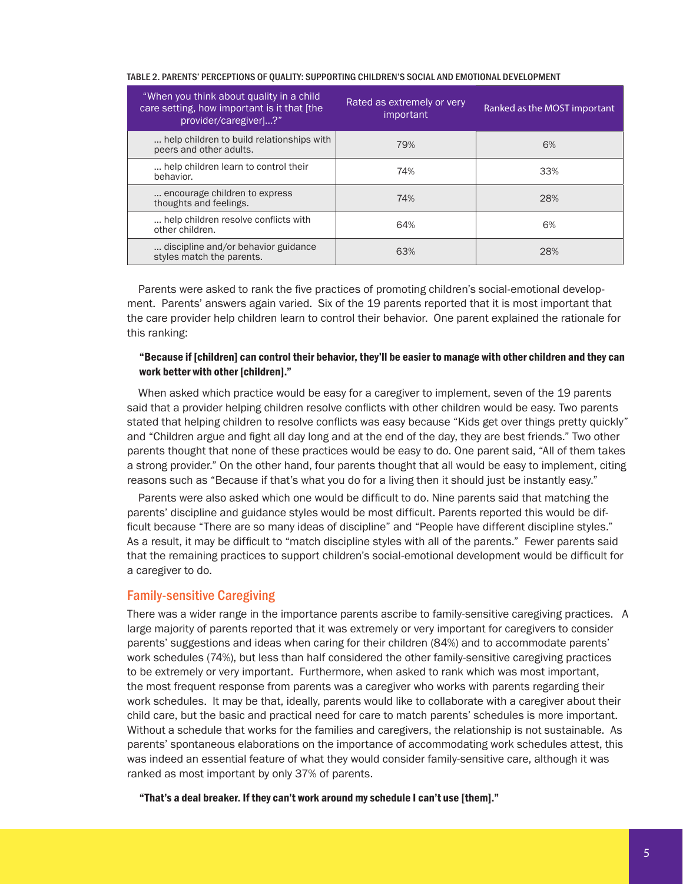| Ranked as the MOST important |
|------------------------------|
|                              |
|                              |
|                              |
|                              |
|                              |
|                              |

#### TABLE 2. PARENTS' PERCEPTIONS OF QUALITY: SUPPORTING CHILDREN'S SOCIAL AND EMOTIONAL DEVELOPMENT

Parents were asked to rank the five practices of promoting children's social-emotional development. Parents' answers again varied. Six of the 19 parents reported that it is most important that the care provider help children learn to control their behavior. One parent explained the rationale for this ranking:

## "Because if [children] can control their behavior, they'll be easier to manage with other children and they can work better with other [children]."

When asked which practice would be easy for a caregiver to implement, seven of the 19 parents said that a provider helping children resolve conflicts with other children would be easy. Two parents stated that helping children to resolve conflicts was easy because "Kids get over things pretty quickly" and "Children argue and fight all day long and at the end of the day, they are best friends." Two other parents thought that none of these practices would be easy to do. One parent said, "All of them takes a strong provider." On the other hand, four parents thought that all would be easy to implement, citing reasons such as "Because if that's what you do for a living then it should just be instantly easy."

Parents were also asked which one would be difficult to do. Nine parents said that matching the parents' discipline and guidance styles would be most difficult. Parents reported this would be difficult because "There are so many ideas of discipline" and "People have different discipline styles." As a result, it may be difficult to "match discipline styles with all of the parents." Fewer parents said that the remaining practices to support children's social-emotional development would be difficult for a caregiver to do.

## Family-sensitive Caregiving

There was a wider range in the importance parents ascribe to family-sensitive caregiving practices. A large majority of parents reported that it was extremely or very important for caregivers to consider parents' suggestions and ideas when caring for their children (84%) and to accommodate parents' work schedules (74%), but less than half considered the other family-sensitive caregiving practices to be extremely or very important. Furthermore, when asked to rank which was most important, the most frequent response from parents was a caregiver who works with parents regarding their work schedules. It may be that, ideally, parents would like to collaborate with a caregiver about their child care, but the basic and practical need for care to match parents' schedules is more important. Without a schedule that works for the families and caregivers, the relationship is not sustainable. As parents' spontaneous elaborations on the importance of accommodating work schedules attest, this was indeed an essential feature of what they would consider family-sensitive care, although it was ranked as most important by only 37% of parents.

"That's a deal breaker. If they can't work around my schedule I can't use [them]."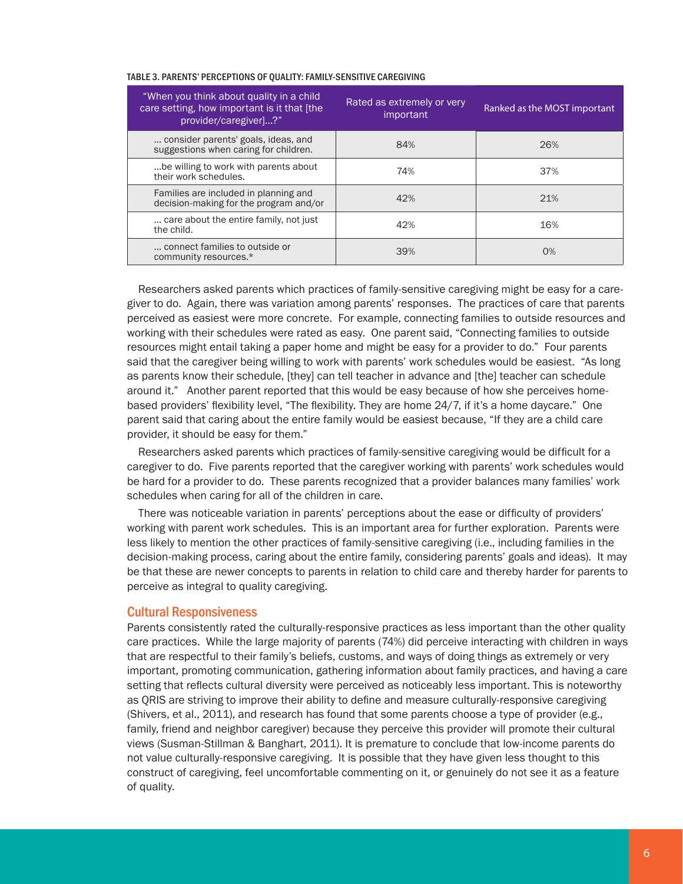| "When you think about quality in a child<br>care setting, how important is it that [the<br>provider/caregiver]?" | Rated as extremely or very<br>important | Ranked as the MOST important |
|------------------------------------------------------------------------------------------------------------------|-----------------------------------------|------------------------------|
| consider parents' goals, ideas, and<br>suggestions when caring for children.                                     | 84%                                     | 26%                          |
| be willing to work with parents about<br>their work schedules.                                                   | 74%                                     | 37%                          |
| Families are included in planning and<br>decision-making for the program and/or                                  | 42%                                     | 21%                          |
| care about the entire family, not just<br>the child.                                                             | 42%                                     | 16%                          |
| connect families to outside or<br>community resources.*                                                          | 39%                                     | $0\%$                        |

#### TABLE 3. PARENTS' PERCEPTIONS OF QUALITY: FAMILY-SENSITIVE CAREGIVING

Researchers asked parents which practices of family-sensitive caregiving might be easy for a caregiver to do. Again, there was variation among parents' responses. The practices of care that parents perceived as easiest were more concrete. For example, connecting families to outside resources and working with their schedules were rated as easy. One parent said, "Connecting families to outside resources might entail taking a paper home and might be easy for a provider to do." Four parents said that the caregiver being willing to work with parents' work schedules would be easiest. "As long as parents know their schedule, [they] can tell teacher in advance and [the] teacher can schedule around it." Another parent reported that this would be easy because of how she perceives homebased providers' flexibility level, "The flexibility. They are home 24/7, if it's a home daycare." One parent said that caring about the entire family would be easiest because, "If they are a child care provider, it should be easy for them."

Researchers asked parents which practices of family-sensitive caregiving would be difficult for a caregiver to do. Five parents reported that the caregiver working with parents' work schedules would be hard for a provider to do. These parents recognized that a provider balances many families' work schedules when caring for all of the children in care.

There was noticeable variation in parents' perceptions about the ease or difficulty of providers' working with parent work schedules. This is an important area for further exploration. Parents were less likely to mention the other practices of family-sensitive caregiving (i.e., including families in the decision-making process, caring about the entire family, considering parents' goals and ideas). It may be that these are newer concepts to parents in relation to child care and thereby harder for parents to perceive as integral to quality caregiving.

#### Cultural Responsiveness

Parents consistently rated the culturally-responsive practices as less important than the other quality care practices. While the large majority of parents (74%) did perceive interacting with children in ways that are respectful to their family's beliefs, customs, and ways of doing things as extremely or very important, promoting communication, gathering information about family practices, and having a care setting that reflects cultural diversity were perceived as noticeably less important. This is noteworthy as QRIS are striving to improve their ability to define and measure culturally-responsive caregiving (Shivers, et al., 2011), and research has found that some parents choose a type of provider (e.g., family, friend and neighbor caregiver) because they perceive this provider will promote their cultural views (Susman-Stillman & Banghart, 2011). It is premature to conclude that low-income parents do not value culturally-responsive caregiving. It is possible that they have given less thought to this construct of caregiving, feel uncomfortable commenting on it, or genuinely do not see it as a feature of quality.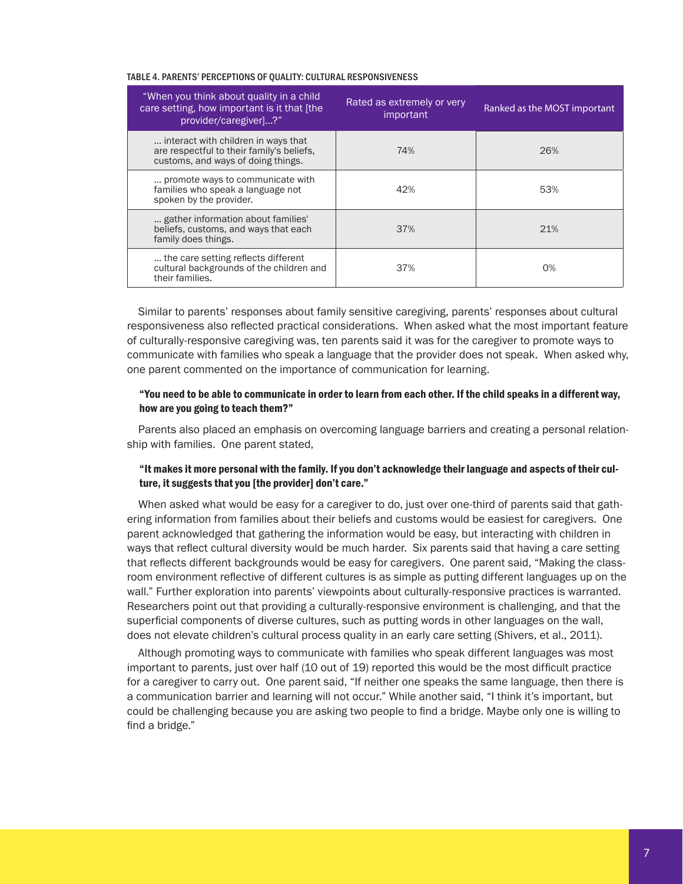#### TABLE 4. PARENTS' PERCEPTIONS OF QUALITY: CULTURAL RESPONSIVENESS

| "When you think about quality in a child<br>care setting, how important is it that [the<br>provider/caregiver]?"       | Rated as extremely or very<br>important | Ranked as the MOST important |
|------------------------------------------------------------------------------------------------------------------------|-----------------------------------------|------------------------------|
| interact with children in ways that<br>are respectful to their family's beliefs.<br>customs, and ways of doing things. | 74%                                     | 26%                          |
| promote ways to communicate with<br>families who speak a language not<br>spoken by the provider.                       | 42%                                     | 53%                          |
| gather information about families'<br>beliefs, customs, and ways that each<br>family does things.                      | 37%                                     | 21%                          |
| the care setting reflects different<br>cultural backgrounds of the children and<br>their families.                     | 37%                                     | 0%                           |

Similar to parents' responses about family sensitive caregiving, parents' responses about cultural responsiveness also reflected practical considerations. When asked what the most important feature of culturally-responsive caregiving was, ten parents said it was for the caregiver to promote ways to communicate with families who speak a language that the provider does not speak. When asked why, one parent commented on the importance of communication for learning.

#### "You need to be able to communicate in order to learn from each other. If the child speaks in a different way, how are you going to teach them?"

Parents also placed an emphasis on overcoming language barriers and creating a personal relationship with families. One parent stated,

#### "It makes it more personal with the family. If you don't acknowledge their language and aspects of their culture, it suggests that you [the provider] don't care."

When asked what would be easy for a caregiver to do, just over one-third of parents said that gathering information from families about their beliefs and customs would be easiest for caregivers. One parent acknowledged that gathering the information would be easy, but interacting with children in ways that reflect cultural diversity would be much harder. Six parents said that having a care setting that reflects different backgrounds would be easy for caregivers. One parent said, "Making the classroom environment reflective of different cultures is as simple as putting different languages up on the wall." Further exploration into parents' viewpoints about culturally-responsive practices is warranted. Researchers point out that providing a culturally-responsive environment is challenging, and that the superficial components of diverse cultures, such as putting words in other languages on the wall, does not elevate children's cultural process quality in an early care setting (Shivers, et al., 2011).

Although promoting ways to communicate with families who speak different languages was most important to parents, just over half (10 out of 19) reported this would be the most difficult practice for a caregiver to carry out. One parent said, "If neither one speaks the same language, then there is a communication barrier and learning will not occur." While another said, "I think it's important, but could be challenging because you are asking two people to find a bridge. Maybe only one is willing to find a bridge."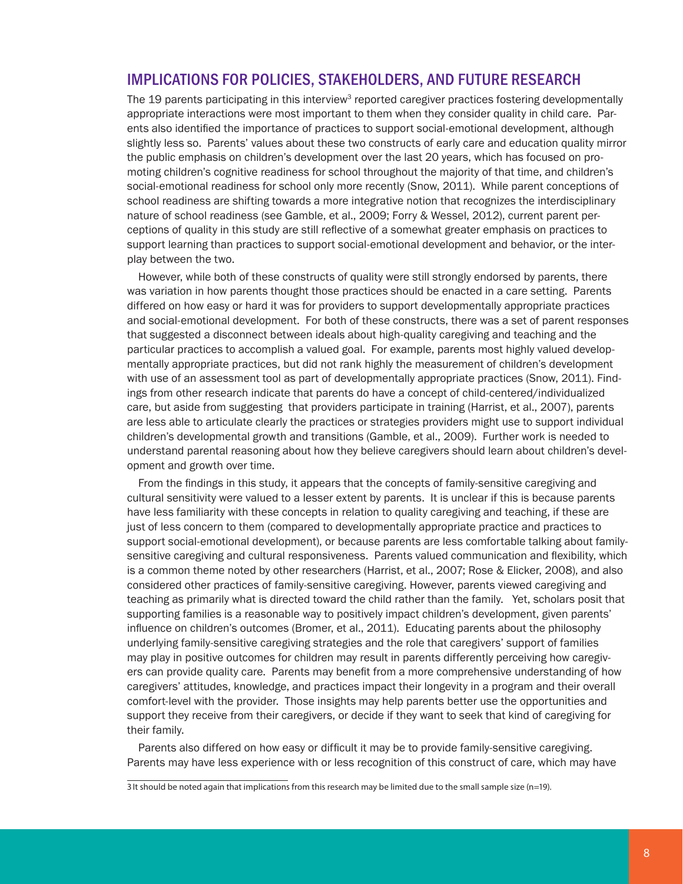## IMPLICATIONS FOR POLICIES, STAKEHOLDERS, AND FUTURE RESEARCH

The 19 parents participating in this interview<sup>3</sup> reported caregiver practices fostering developmentally appropriate interactions were most important to them when they consider quality in child care. Parents also identified the importance of practices to support social-emotional development, although slightly less so. Parents' values about these two constructs of early care and education quality mirror the public emphasis on children's development over the last 20 years, which has focused on promoting children's cognitive readiness for school throughout the majority of that time, and children's social-emotional readiness for school only more recently (Snow, 2011). While parent conceptions of school readiness are shifting towards a more integrative notion that recognizes the interdisciplinary nature of school readiness (see Gamble, et al., 2009; Forry & Wessel, 2012), current parent perceptions of quality in this study are still reflective of a somewhat greater emphasis on practices to support learning than practices to support social-emotional development and behavior, or the interplay between the two.

However, while both of these constructs of quality were still strongly endorsed by parents, there was variation in how parents thought those practices should be enacted in a care setting. Parents differed on how easy or hard it was for providers to support developmentally appropriate practices and social-emotional development. For both of these constructs, there was a set of parent responses that suggested a disconnect between ideals about high-quality caregiving and teaching and the particular practices to accomplish a valued goal. For example, parents most highly valued developmentally appropriate practices, but did not rank highly the measurement of children's development with use of an assessment tool as part of developmentally appropriate practices (Snow, 2011). Findings from other research indicate that parents do have a concept of child-centered/individualized care, but aside from suggesting that providers participate in training (Harrist, et al., 2007), parents are less able to articulate clearly the practices or strategies providers might use to support individual children's developmental growth and transitions (Gamble, et al., 2009). Further work is needed to understand parental reasoning about how they believe caregivers should learn about children's development and growth over time.

From the findings in this study, it appears that the concepts of family-sensitive caregiving and cultural sensitivity were valued to a lesser extent by parents. It is unclear if this is because parents have less familiarity with these concepts in relation to quality caregiving and teaching, if these are just of less concern to them (compared to developmentally appropriate practice and practices to support social-emotional development), or because parents are less comfortable talking about familysensitive caregiving and cultural responsiveness. Parents valued communication and flexibility, which is a common theme noted by other researchers (Harrist, et al., 2007; Rose & Elicker, 2008), and also considered other practices of family-sensitive caregiving. However, parents viewed caregiving and teaching as primarily what is directed toward the child rather than the family. Yet, scholars posit that supporting families is a reasonable way to positively impact children's development, given parents' influence on children's outcomes (Bromer, et al., 2011). Educating parents about the philosophy underlying family-sensitive caregiving strategies and the role that caregivers' support of families may play in positive outcomes for children may result in parents differently perceiving how caregivers can provide quality care. Parents may benefit from a more comprehensive understanding of how caregivers' attitudes, knowledge, and practices impact their longevity in a program and their overall comfort-level with the provider. Those insights may help parents better use the opportunities and support they receive from their caregivers, or decide if they want to seek that kind of caregiving for their family.

Parents also differed on how easy or difficult it may be to provide family-sensitive caregiving. Parents may have less experience with or less recognition of this construct of care, which may have

<sup>3</sup>It should be noted again that implications from this research may be limited due to the small sample size (n=19).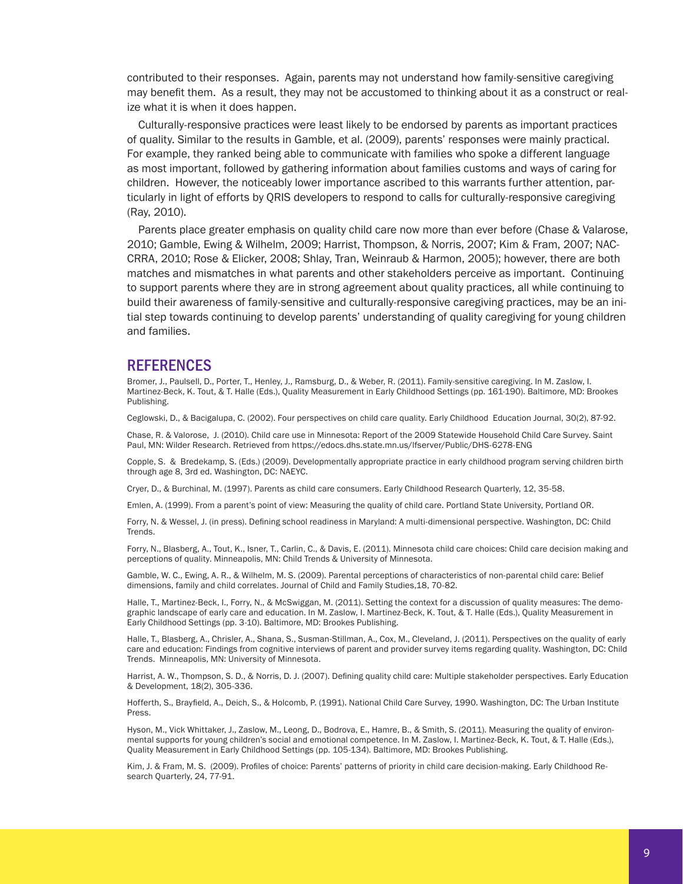contributed to their responses. Again, parents may not understand how family-sensitive caregiving may benefit them. As a result, they may not be accustomed to thinking about it as a construct or realize what it is when it does happen.

Culturally-responsive practices were least likely to be endorsed by parents as important practices of quality. Similar to the results in Gamble, et al. (2009), parents' responses were mainly practical. For example, they ranked being able to communicate with families who spoke a different language as most important, followed by gathering information about families customs and ways of caring for children. However, the noticeably lower importance ascribed to this warrants further attention, particularly in light of efforts by QRIS developers to respond to calls for culturally-responsive caregiving (Ray, 2010).

Parents place greater emphasis on quality child care now more than ever before (Chase & Valarose, 2010; Gamble, Ewing & Wilhelm, 2009; Harrist, Thompson, & Norris, 2007; Kim & Fram, 2007; NAC-CRRA, 2010; Rose & Elicker, 2008; Shlay, Tran, Weinraub & Harmon, 2005); however, there are both matches and mismatches in what parents and other stakeholders perceive as important. Continuing to support parents where they are in strong agreement about quality practices, all while continuing to build their awareness of family-sensitive and culturally-responsive caregiving practices, may be an initial step towards continuing to develop parents' understanding of quality caregiving for young children and families.

#### **REFERENCES**

Bromer, J., Paulsell, D., Porter, T., Henley, J., Ramsburg, D., & Weber, R. (2011). Family-sensitive caregiving. In M. Zaslow, I. Martinez-Beck, K. Tout, & T. Halle (Eds.), Quality Measurement in Early Childhood Settings (pp. 161-190). Baltimore, MD: Brookes Publishing.

Ceglowski, D., & Bacigalupa, C. (2002). Four perspectives on child care quality. Early Childhood Education Journal, 30(2), 87-92.

Chase, R. & Valorose, J. (2010). Child care use in Minnesota: Report of the 2009 Statewide Household Child Care Survey. Saint Paul, MN: Wilder Research. Retrieved from https://edocs.dhs.state.mn.us/lfserver/Public/DHS-6278-ENG

Copple, S. & Bredekamp, S. (Eds.) (2009). Developmentally appropriate practice in early childhood program serving children birth through age 8, 3rd ed. Washington, DC: NAEYC.

Cryer, D., & Burchinal, M. (1997). Parents as child care consumers. Early Childhood Research Quarterly, 12, 35-58.

Emlen, A. (1999). From a parent's point of view: Measuring the quality of child care. Portland State University, Portland OR.

Forry, N. & Wessel, J. (in press). Defining school readiness in Maryland: A multi-dimensional perspective. Washington, DC: Child Trends.

Forry, N., Blasberg, A., Tout, K., Isner, T., Carlin, C., & Davis, E. (2011). Minnesota child care choices: Child care decision making and perceptions of quality. Minneapolis, MN: Child Trends & University of Minnesota.

Gamble, W. C., Ewing, A. R., & Wilhelm, M. S. (2009). Parental perceptions of characteristics of non-parental child care: Belief dimensions, family and child correlates. Journal of Child and Family Studies,18, 70-82.

Halle, T., Martinez-Beck, I., Forry, N., & McSwiggan, M. (2011). Setting the context for a discussion of quality measures: The demographic landscape of early care and education. In M. Zaslow, I. Martinez-Beck, K. Tout, & T. Halle (Eds.), Quality Measurement in Early Childhood Settings (pp. 3-10). Baltimore, MD: Brookes Publishing.

Halle, T., Blasberg, A., Chrisler, A., Shana, S., Susman-Stillman, A., Cox, M., Cleveland, J. (2011). Perspectives on the quality of early care and education: Findings from cognitive interviews of parent and provider survey items regarding quality. Washington, DC: Child Trends. Minneapolis, MN: University of Minnesota.

Harrist, A. W., Thompson, S. D., & Norris, D. J. (2007). Defining quality child care: Multiple stakeholder perspectives. Early Education & Development, 18(2), 305-336.

Hofferth, S., Brayfield, A., Deich, S., & Holcomb, P. (1991). National Child Care Survey, 1990. Washington, DC: The Urban Institute Press.

Hyson, M., Vick Whittaker, J., Zaslow, M., Leong, D., Bodrova, E., Hamre, B., & Smith, S. (2011). Measuring the quality of environmental supports for young children's social and emotional competence. In M. Zaslow, I. Martinez-Beck, K. Tout, & T. Halle (Eds.), Quality Measurement in Early Childhood Settings (pp. 105-134). Baltimore, MD: Brookes Publishing.

Kim, J. & Fram, M. S. (2009). Profiles of choice: Parents' patterns of priority in child care decision-making. Early Childhood Research Quarterly, 24, 77-91.